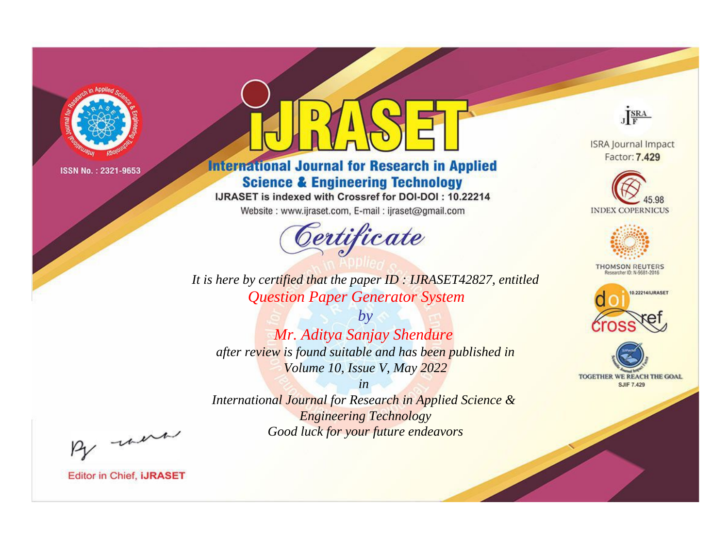

# **International Journal for Research in Applied Science & Engineering Technology**

IJRASET is indexed with Crossref for DOI-DOI: 10.22214

Website: www.ijraset.com, E-mail: ijraset@gmail.com



JERA

**ISRA Journal Impact** Factor: 7.429





**THOMSON REUTERS** 



TOGETHER WE REACH THE GOAL **SJIF 7.429** 

*It is here by certified that the paper ID : IJRASET42827, entitled Question Paper Generator System*

*by Mr. Aditya Sanjay Shendure after review is found suitable and has been published in Volume 10, Issue V, May 2022*

*in* 

*International Journal for Research in Applied Science & Engineering Technology Good luck for your future endeavors*

By morn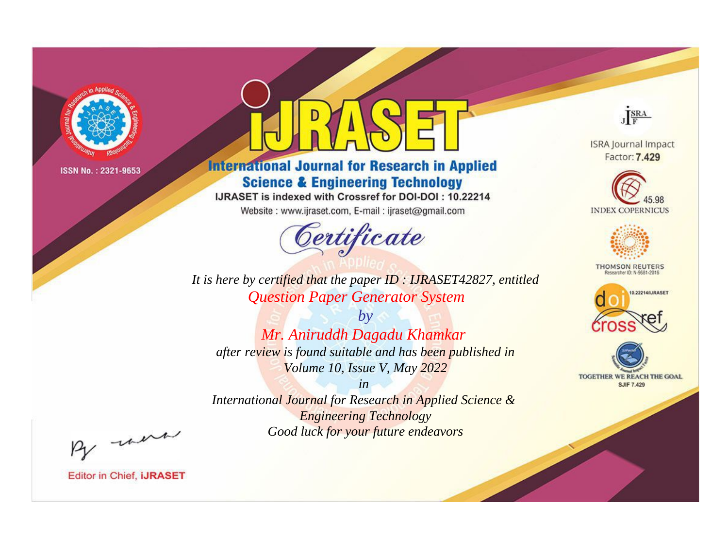

# **International Journal for Research in Applied Science & Engineering Technology**

IJRASET is indexed with Crossref for DOI-DOI: 10.22214

Website: www.ijraset.com, E-mail: ijraset@gmail.com



JERA

**ISRA Journal Impact** Factor: 7.429





**THOMSON REUTERS** 



TOGETHER WE REACH THE GOAL **SJIF 7.429** 

*It is here by certified that the paper ID : IJRASET42827, entitled Question Paper Generator System*

*by Mr. Aniruddh Dagadu Khamkar after review is found suitable and has been published in Volume 10, Issue V, May 2022*

*in* 

*International Journal for Research in Applied Science & Engineering Technology Good luck for your future endeavors*

By morn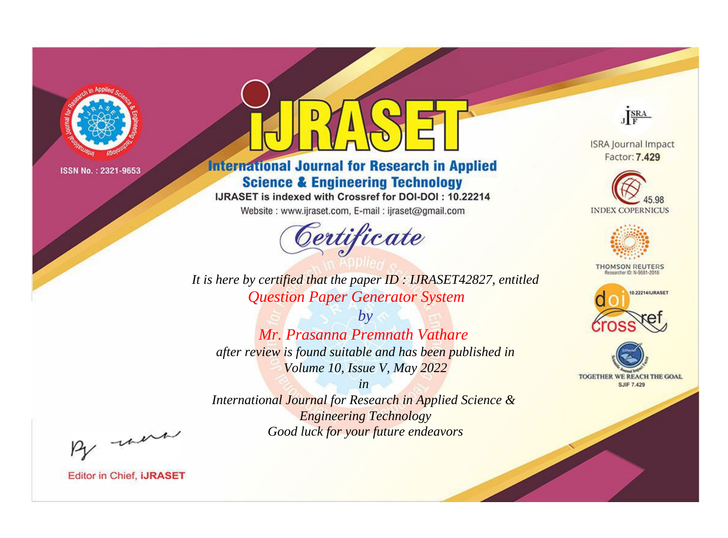

# **International Journal for Research in Applied Science & Engineering Technology**

IJRASET is indexed with Crossref for DOI-DOI: 10.22214

Website: www.ijraset.com, E-mail: ijraset@gmail.com



JERA

**ISRA Journal Impact** Factor: 7.429





**THOMSON REUTERS** 



TOGETHER WE REACH THE GOAL **SJIF 7.429** 

*It is here by certified that the paper ID : IJRASET42827, entitled Question Paper Generator System*

*by Mr. Prasanna Premnath Vathare after review is found suitable and has been published in Volume 10, Issue V, May 2022*

*in* 

*International Journal for Research in Applied Science & Engineering Technology Good luck for your future endeavors*

By morn